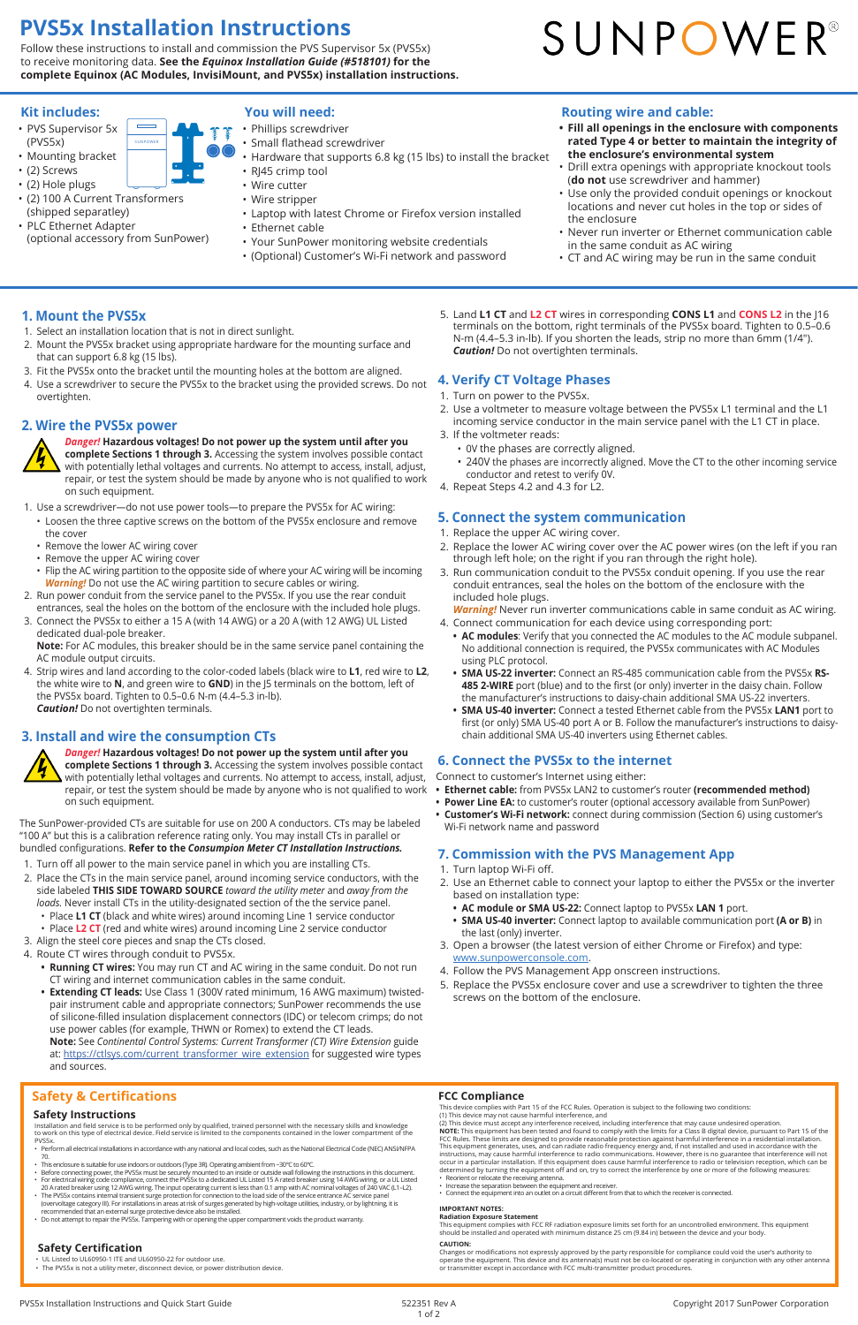Installation and field service is to be performed only by qualified, trained personnel with the necessary skills and knowledge<br>to work on this type of electrical device. Field service is limited to the components contained PVS5x.

- Perform all electrical installations in accordance with any national and local codes, such as the National Electrical Code (NEC) ANSI/NFPA 70.
- 
- This enclosure is suitable for use indoors or outdoors (Type 3R). Operating ambient from −30°C to 60°C.<br>• Before connecting power, the PVS5x must be securely mounted to an inside or outside wall following the instructio
- For electrical wiring code compliance, connect the PVS5x to a dedicated UL Listed 15 A rated breaker using 14 AWG wiring, or a UL Listed<br>20 A rated breaker using 12 AWG wiring. The input operating current is less than 0
- (overvoltage category III). For installations in areas at risk of surges generated by high-voltage utilities, industry, or by lightning, it is recommended that an external surge protective device also be installed.
- Do not attempt to repair the PVS5x. Tampering with or opening the upper compartment voids the product warranty.

#### **Safety Instructions**

#### **Safety & Certifications**

This device complies with Part 15 of the FCC Rules. Operation is subject to the following two conditions: (1) This device may not cause harmful interference, and

(2) This device must accept any interference received, including interference that may cause undesired operation.<br>**NOTE:** This equipment has been tested and found to comply with the limits for a Class B digital device, pur FCC Rules. These limits are designed to provide reasonable protection against harmful interference in a residential installation.<br>This equipment generates, uses, and can radiate radio frequency energy and, if not installed instructions, may cause harmful interference to radio communications. However, there is no guarantee that interference will not occur in a particular installation. If this equipment does cause harmful interference to radio or television reception, which can be<br>determined by turning the equipment off and on, try to correct the interference by one or

Changes or modifications not expressly approved by the party responsible for compliance could void the user's authority to<br>operate the equipment. This device and its antenna(s) must not be co-located or operating in conjun or transmitter except in accordance with FCC multi-transmitter product procedures.

- 
- Reorient or relocate the receiving antenna. Increase the separation between the equipment and receiver.
- Connect the equipment into an outlet on a circuit different from that to which the receiver is connected.

#### **IMPORTANT NOTES:**

**Radiation Exposure Statement** This equipment complies with FCC RF radiation exposure limits set forth for an uncontrolled environment. This equipment should be installed and operated with minimum distance 25 cm (9.84 in) between the device and your body.

#### **CAUTION:**

#### **FCC Compliance**

- UL Listed to UL60950-1 ITE and UL60950-22 for outdoor use.
- The PVS5x is not a utility meter, disconnect device, or power distribution device.

#### **Safety Certification**

#### **1. Mount the PVS5x**

5. Land **L1 CT** and **L2 CT** wires in corresponding **CONS L1** and **CONS L2** in the J16 terminals on the bottom, right terminals of the PVS5x board. Tighten to 0.5–0.6 N-m (4.4–5.3 in-lb). If you shorten the leads, strip no more than 6mm (1/4"). *Caution!* Do not overtighten terminals.

- 1. Select an installation location that is not in direct sunlight.
- 2. Mount the PVS5x bracket using appropriate hardware for the mounting surface and that can support 6.8 kg (15 lbs).
- 3. Fit the PVS5x onto the bracket until the mounting holes at the bottom are aligned.
- 4. Use a screwdriver to secure the PVS5x to the bracket using the provided screws. Do not overtighten.

#### **2. Wire the PVS5x power**



*Danger!* **Hazardous voltages! Do not power up the system until after you complete Sections 1 through 3.** Accessing the system involves possible contact with potentially lethal voltages and currents. No attempt to access, install, adjust, repair, or test the system should be made by anyone who is not qualified to work on such equipment.

- 1. Turn laptop Wi-Fi off.
- 2. Use an Ethernet cable to connect your laptop to either the PVS5x or the inverter based on installation type:
	- **• AC module or SMA US-22:** Connect laptop to PVS5x **LAN 1** port.
	- **• SMA US-40 inverter:** Connect laptop to available communication port **(A or B)** in the last (only) inverter.
- 3. Open a browser (the latest version of either Chrome or Firefox) and type: www.sunpowerconsole.com.
	- Follow the PVS Management App onscreen instructions.
- 1. Use a screwdriver—do not use power tools—to prepare the PVS5x for AC wiring:
- Loosen the three captive screws on the bottom of the PVS5x enclosure and remove the cover
- Remove the lower AC wiring cover
- Remove the upper AC wiring cover
- Flip the AC wiring partition to the opposite side of where your AC wiring will be incoming *Warning!* Do not use the AC wiring partition to secure cables or wiring.
- 2. Run power conduit from the service panel to the PVS5x. If you use the rear conduit entrances, seal the holes on the bottom of the enclosure with the included hole plugs.
- 3. Connect the PVS5x to either a 15 A (with 14 AWG) or a 20 A (with 12 AWG) UL Listed dedicated dual-pole breaker.
- **Note:** For AC modules, this breaker should be in the same service panel containing the AC module output circuits.
- 4. Strip wires and land according to the color-coded labels (black wire to **L1**, red wire to **L2**, the white wire to **N**, and green wire to **GND**) in the J5 terminals on the bottom, left of the PVS5x board. Tighten to 0.5–0.6 N-m (4.4–5.3 in-lb). *Caution!* Do not overtighten terminals.

### **3. Install and wire the consumption CTs**

*Danger!* **Hazardous voltages! Do not power up the system until after you complete Sections 1 through 3.** Accessing the system involves possible contact with potentially lethal voltages and currents. No attempt to access, install, adjust, repair, or test the system should be made by anyone who is not qualified to work on such equipment.

The SunPower-provided CTs are suitable for use on 200 A conductors. CTs may be labeled "100 A" but this is a calibration reference rating only. You may install CTs in parallel or bundled configurations. **Refer to the** *Consumpion Meter CT Installation Instructions.*

- 1. Turn off all power to the main service panel in which you are installing CTs.
- 2. Place the CTs in the main service panel, around incoming service conductors, with the side labeled **THIS SIDE TOWARD SOURCE** *toward the utility meter* and *away from the loads.* Never install CTs in the utility-designated section of the the service panel.
	- Place **L1 CT** (black and white wires) around incoming Line 1 service conductor
	- Place **L2 CT** (red and white wires) around incoming Line 2 service conductor
- 3. Align the steel core pieces and snap the CTs closed.
- 4. Route CT wires through conduit to PVS5x.
	- **• Running CT wires:** You may run CT and AC wiring in the same conduit. Do not run

CT wiring and internet communication cables in the same conduit.

**• Extending CT leads:** Use Class 1 (300V rated minimum, 16 AWG maximum) twistedpair instrument cable and appropriate connectors; SunPower recommends the use of silicone-filled insulation displacement connectors (IDC) or telecom crimps; do not use power cables (for example, THWN or Romex) to extend the CT leads. **Note:** See *Continental Control Systems: Current Transformer (CT) Wire Extension* guide at: https://ctlsys.com/current\_transformer\_wire\_extension for suggested wire types and sources.

#### **4. Verify CT Voltage Phases**

- 1. Turn on power to the PVS5x.
- 2. Use a voltmeter to measure voltage between the PVS5x L1 terminal and the L1 incoming service conductor in the main service panel with the L1 CT in place.
- 3. If the voltmeter reads:
	- 0V the phases are correctly aligned.
	- 240V the phases are incorrectly aligned. Move the CT to the other incoming service conductor and retest to verify 0V.
- 4. Repeat Steps 4.2 and 4.3 for L2.

#### **5. Connect the system communication**

- 1. Replace the upper AC wiring cover.
- 2. Replace the lower AC wiring cover over the AC power wires (on the left if you ran through left hole; on the right if you ran through the right hole).
- 3. Run communication conduit to the PVS5x conduit opening. If you use the rear conduit entrances, seal the holes on the bottom of the enclosure with the included hole plugs.

*Warning!* Never run inverter communications cable in same conduit as AC wiring.

- 4. Connect communication for each device using corresponding port: **• AC modules**: Verify that you connected the AC modules to the AC module subpanel. No additional connection is required, the PVS5x communicates with AC Modules using PLC protocol.
	- **• SMA US-22 inverter:** Connect an RS-485 communication cable from the PVS5x **RS-485 2-WIRE** port (blue) and to the first (or only) inverter in the daisy chain. Follow the manufacturer's instructions to daisy-chain additional SMA US-22 inverters.
	- **• SMA US-40 inverter:** Connect a tested Ethernet cable from the PVS5x **LAN1** port to first (or only) SMA US-40 port A or B. Follow the manufacturer's instructions to daisychain additional SMA US-40 inverters using Ethernet cables.

#### **6. Connect the PVS5x to the internet**

Connect to customer's Internet using either:

- **• Ethernet cable:** from PVS5x LAN2 to customer's router **(recommended method)**
- **• Power Line EA:** to customer's router (optional accessory available from SunPower)
- **• Customer's Wi-Fi network:** connect during commission (Section 6) using customer's Wi-Fi network name and password

#### **7. Commission with the PVS Management App**

- 
- 5. Replace the PVS5x enclosure cover and use a screwdriver to tighten the three screws on the bottom of the enclosure.

#### **Routing wire and cable:**

- **• Fill all openings in the enclosure with components rated Type 4 or better to maintain the integrity of the enclosure's environmental system**
- Drill extra openings with appropriate knockout tools (**do not** use screwdriver and hammer)
- Use only the provided conduit openings or knockout locations and never cut holes in the top or sides of the enclosure
- Never run inverter or Ethernet communication cable in the same conduit as AC wiring
- CT and AC wiring may be run in the same conduit

#### **Kit includes:**

- PVS Supervisor 5x (PVS5x)
- Mounting bracket • (2) Screws
- (2) Hole plugs
- (2) 100 A Current Transformers (shipped separatley)
- PLC Ethernet Adapter (optional accessory from SunPower)



#### **You will need:**

- Phillips screwdriver
- Small flathead screwdriver
	- Hardware that supports 6.8 kg (15 lbs) to install the bracket
	- RJ45 crimp tool
	- Wire cutter
- Wire stripper
- Laptop with latest Chrome or Firefox version installed
- Ethernet cable
- Your SunPower monitoring website credentials
- (Optional) Customer's Wi-Fi network and password

# SUNPOWER®

## **PVS5x Installation Instructions**

Follow these instructions to install and commission the PVS Supervisor 5x (PVS5x) to receive monitoring data. **See the** *Equinox Installation Guide (#518101)* **for the complete Equinox (AC Modules, InvisiMount, and PVS5x) installation instructions.**